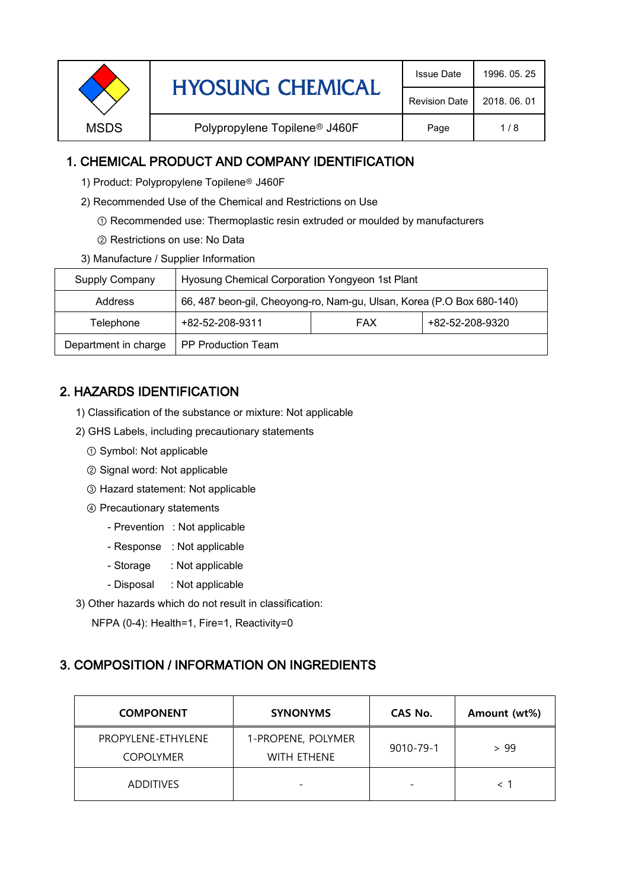| <b>Revision Date</b><br>2018, 06, 01<br>Polypropylene Topilene <sup>®</sup> J460F<br><b>MSDS</b><br>1/8<br>Page | <b>HYOSUNG CHEMICAL</b> | <b>Issue Date</b> | 1996, 05, 25 |  |
|-----------------------------------------------------------------------------------------------------------------|-------------------------|-------------------|--------------|--|
|                                                                                                                 |                         |                   |              |  |
|                                                                                                                 |                         |                   |              |  |

### 1. CHEMICAL PRODUCT AND COMPANY IDENTIFICATION

- 1) Product: Polypropylene Topilene<sup>®</sup> J460F
- 2) Recommended Use of the Chemical and Restrictions on Use
	- ① Recommended use: Thermoplastic resin extruded or moulded by manufacturers
	- ② Restrictions on use: No Data
- 3) Manufacture / Supplier Information

| Supply Company       | Hyosung Chemical Corporation Yongyeon 1st Plant                       |            |                 |  |
|----------------------|-----------------------------------------------------------------------|------------|-----------------|--|
| Address              | 66, 487 beon-gil, Cheoyong-ro, Nam-gu, Ulsan, Korea (P.O Box 680-140) |            |                 |  |
| Telephone            | +82-52-208-9311                                                       | <b>FAX</b> | +82-52-208-9320 |  |
| Department in charge | <b>PP Production Team</b>                                             |            |                 |  |

# 2. HAZARDS IDENTIFICATION

- 1) Classification of the substance or mixture: Not applicable
- 2) GHS Labels, including precautionary statements
	- ① Symbol: Not applicable
	- ② Signal word: Not applicable
	- ③ Hazard statement: Not applicable
	- ④ Precautionary statements
		- Prevention : Not applicable
		- Response : Not applicable
		- Storage : Not applicable
		- Disposal : Not applicable
- 3) Other hazards which do not result in classification:

NFPA (0-4): Health=1, Fire=1, Reactivity=0

#### 3. COMPOSITION / INFORMATION ON INGREDIENTS

| <b>COMPONENT</b>                       | <b>SYNONYMS</b>                          | CAS No.                  | Amount (wt%) |
|----------------------------------------|------------------------------------------|--------------------------|--------------|
| PROPYLENE-ETHYLENE<br><b>COPOLYMER</b> | 1-PROPENE, POLYMER<br><b>WITH ETHENE</b> | 9010-79-1                | > 99         |
| <b>ADDITIVES</b>                       |                                          | $\overline{\phantom{0}}$ |              |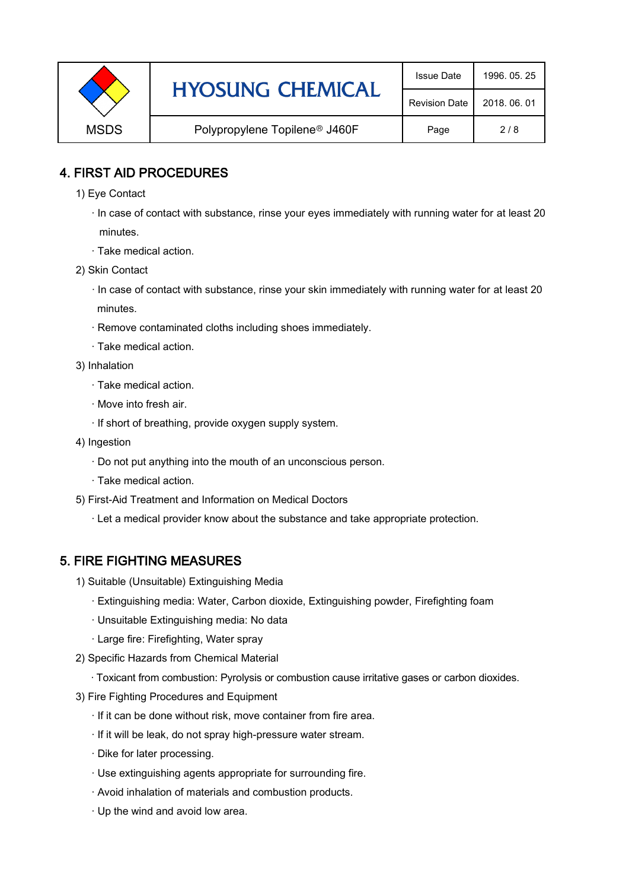|             | <b>HYOSUNG CHEMICAL</b>                   | <b>Issue Date</b>    | 1996, 05, 25 |
|-------------|-------------------------------------------|----------------------|--------------|
|             |                                           | <b>Revision Date</b> | 2018, 06, 01 |
| <b>MSDS</b> | Polypropylene Topilene <sup>®</sup> J460F | Page                 | 2/8          |

### 4. FIRST AID PROCEDURES

- 1) Eye Contact
	- · In case of contact with substance, rinse your eyes immediately with running water for at least 20 minutes.
	- · Take medical action.
- 2) Skin Contact
	- · In case of contact with substance, rinse your skin immediately with running water for at least 20 minutes.
	- · Remove contaminated cloths including shoes immediately.
	- · Take medical action.
- 3) Inhalation
	- · Take medical action.
	- · Move into fresh air.
	- · If short of breathing, provide oxygen supply system.
- 4) Ingestion
	- · Do not put anything into the mouth of an unconscious person.
	- · Take medical action.
- 5) First-Aid Treatment and Information on Medical Doctors
	- · Let a medical provider know about the substance and take appropriate protection.

## 5. FIRE FIGHTING MEASURES

- 1) Suitable (Unsuitable) Extinguishing Media
	- · Extinguishing media: Water, Carbon dioxide, Extinguishing powder, Firefighting foam
	- · Unsuitable Extinguishing media: No data
	- · Large fire: Firefighting, Water spray
- 2) Specific Hazards from Chemical Material
	- · Toxicant from combustion: Pyrolysis or combustion cause irritative gases or carbon dioxides.
- 3) Fire Fighting Procedures and Equipment
	- · If it can be done without risk, move container from fire area.
	- · If it will be leak, do not spray high-pressure water stream.
	- · Dike for later processing.
	- · Use extinguishing agents appropriate for surrounding fire.
	- · Avoid inhalation of materials and combustion products.
	- · Up the wind and avoid low area.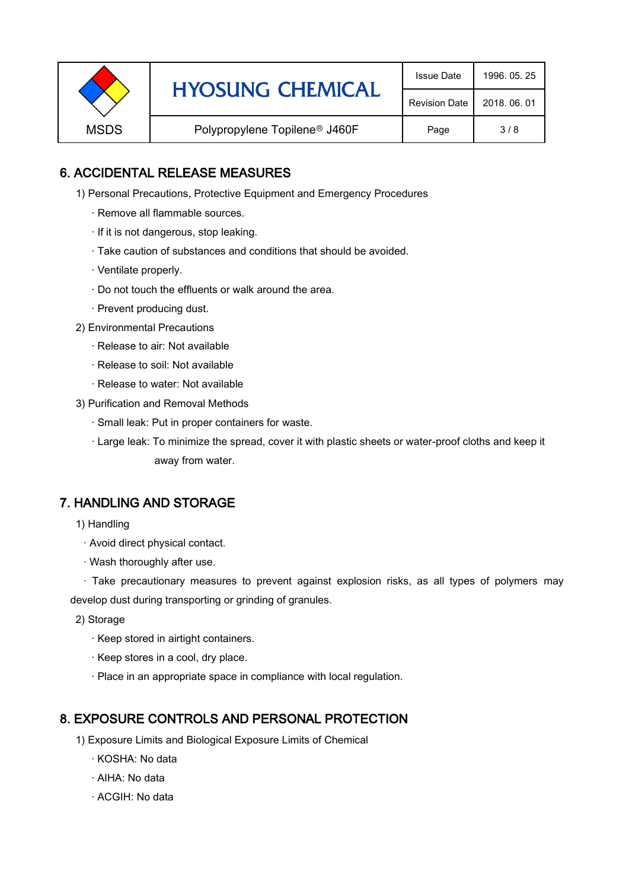|             | <b>HYOSUNG CHEMICAL</b>                   | <b>Issue Date</b>    | 1996, 05, 25 |
|-------------|-------------------------------------------|----------------------|--------------|
|             |                                           | <b>Revision Date</b> | 2018, 06, 01 |
| <b>MSDS</b> | Polypropylene Topilene <sup>®</sup> J460F | Page                 | 3/8          |

### 6. ACCIDENTAL RELEASE MEASURES

- 1) Personal Precautions, Protective Equipment and Emergency Procedures
	- · Remove all flammable sources.
	- · If it is not dangerous, stop leaking.
	- · Take caution of substances and conditions that should be avoided.
	- · Ventilate properly.
	- · Do not touch the effluents or walk around the area.
	- · Prevent producing dust.
- 2) Environmental Precautions
	- · Release to air: Not available
	- · Release to soil: Not available
	- · Release to water: Not available
- 3) Purification and Removal Methods
	- · Small leak: Put in proper containers for waste.
	- ,· Large leak: To minimize the spread, cover it with plastic sheets or water-proof cloths and keep it away from water.

#### 7. HANDLING AND STORAGE

- 1) Handling
	- · Avoid direct physical contact.
	- · Wash thoroughly after use.

· Take precautionary measures to prevent against explosion risks, as all types of polymers may develop dust during transporting or grinding of granules.

- 2) Storage
	- · Keep stored in airtight containers.
	- · Keep stores in a cool, dry place.
	- · Place in an appropriate space in compliance with local regulation.

#### 8. EXPOSURE CONTROLS AND PERSONAL PROTECTION

- 1) Exposure Limits and Biological Exposure Limits of Chemical
	- · KOSHA: No data
	- · AIHA: No data
	- · ACGIH: No data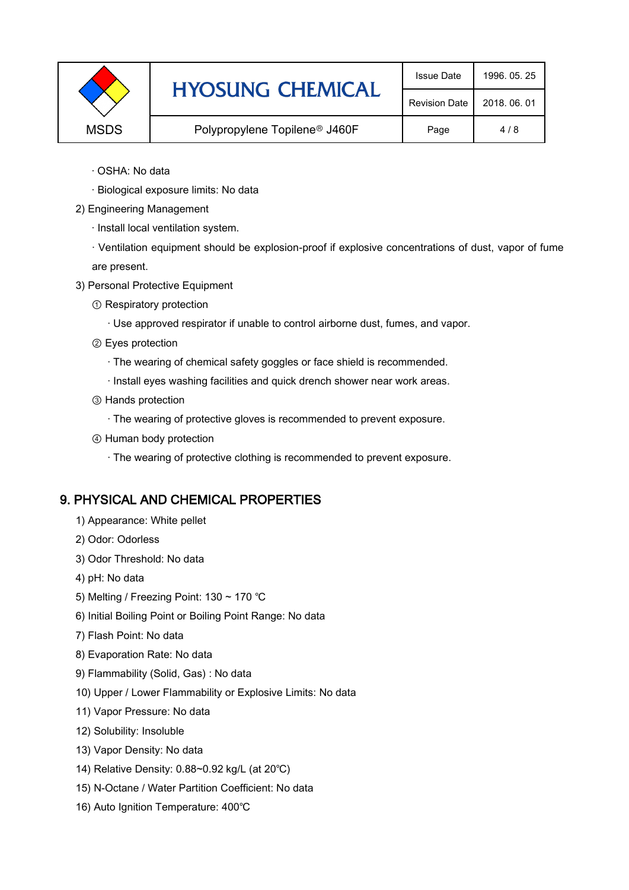|             | <b>HYOSUNG CHEMICAL</b>                   | <b>Issue Date</b>    | 1996, 05, 25 |
|-------------|-------------------------------------------|----------------------|--------------|
|             |                                           | <b>Revision Date</b> | 2018, 06, 01 |
| <b>MSDS</b> | Polypropylene Topilene <sup>®</sup> J460F | Page                 | 4/8          |

- · OSHA: No data
- · Biological exposure limits: No data
- 2) Engineering Management
	- · Install local ventilation system.

· Ventilation equipment should be explosion-proof if explosive concentrations of dust, vapor of fume are present.

- 3) Personal Protective Equipment
	- ① Respiratory protection
		- · Use approved respirator if unable to control airborne dust, fumes, and vapor.
	- ② Eyes protection
		- · The wearing of chemical safety goggles or face shield is recommended.
		- · Install eyes washing facilities and quick drench shower near work areas.
	- ③ Hands protection
		- · The wearing of protective gloves is recommended to prevent exposure.
	- ④ Human body protection
		- · The wearing of protective clothing is recommended to prevent exposure.

## 9. PHYSICAL AND CHEMICAL PROPERTIES

- 1) Appearance: White pellet
- 2) Odor: Odorless
- 3) Odor Threshold: No data
- 4) pH: No data
- 5) Melting / Freezing Point: 130 ~ 170 ℃
- 6) Initial Boiling Point or Boiling Point Range: No data
- 7) Flash Point: No data
- 8) Evaporation Rate: No data
- 9) Flammability (Solid, Gas) : No data
- 10) Upper / Lower Flammability or Explosive Limits: No data
- 11) Vapor Pressure: No data
- 12) Solubility: Insoluble
- 13) Vapor Density: No data
- 14) Relative Density: 0.88~0.92 kg/L (at 20℃)
- 15) N-Octane / Water Partition Coefficient: No data
- 16) Auto Ignition Temperature: 400℃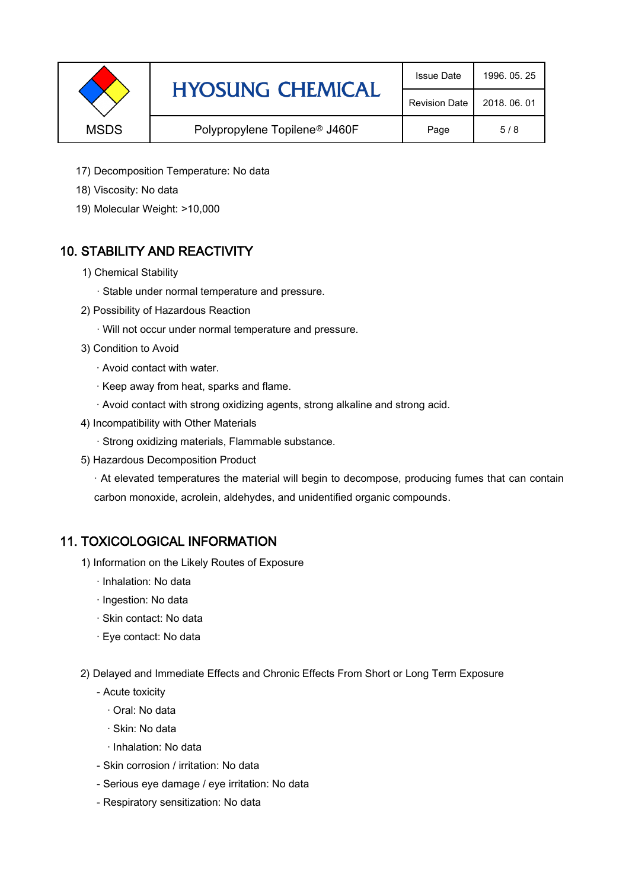|             | <b>HYOSUNG CHEMICAL</b>                   | <b>Issue Date</b>    | 1996, 05, 25 |
|-------------|-------------------------------------------|----------------------|--------------|
|             |                                           | <b>Revision Date</b> | 2018, 06, 01 |
| <b>MSDS</b> | Polypropylene Topilene <sup>®</sup> J460F | Page                 | 5/8          |

- 17) Decomposition Temperature: No data
- 18) Viscosity: No data
- 19) Molecular Weight: >10,000

## 10. STABILITY AND REACTIVITY

- 1) Chemical Stability
	- · Stable under normal temperature and pressure.
- 2) Possibility of Hazardous Reaction
	- · Will not occur under normal temperature and pressure.
- 3) Condition to Avoid
	- · Avoid contact with water.
	- · Keep away from heat, sparks and flame.
	- · Avoid contact with strong oxidizing agents, strong alkaline and strong acid.
- 4) Incompatibility with Other Materials
	- · Strong oxidizing materials, Flammable substance.
- 5) Hazardous Decomposition Product

· At elevated temperatures the material will begin to decompose, producing fumes that can contain carbon monoxide, acrolein, aldehydes, and unidentified organic compounds.

#### 11. TOXICOLOGICAL INFORMATION

- 1) Information on the Likely Routes of Exposure
	- · Inhalation: No data
	- · Ingestion: No data
	- · Skin contact: No data
	- · Eye contact: No data
- 2) Delayed and Immediate Effects and Chronic Effects From Short or Long Term Exposure
	- Acute toxicity
		- · Oral: No data
		- · Skin: No data
		- · Inhalation: No data
	- Skin corrosion / irritation: No data
	- Serious eye damage / eye irritation: No data
	- Respiratory sensitization: No data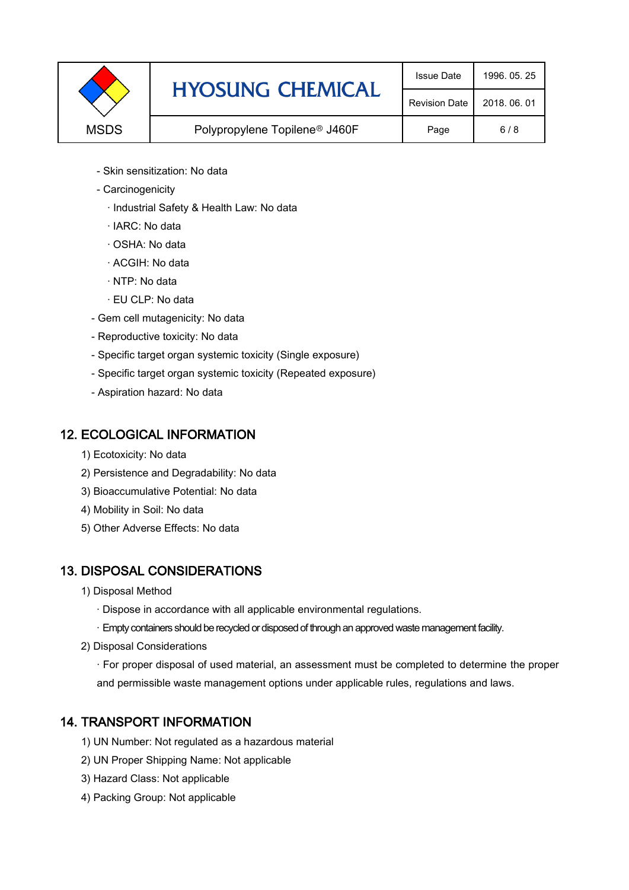|             | <b>HYOSUNG CHEMICAL</b>                   | <b>Issue Date</b>    | 1996, 05, 25 |
|-------------|-------------------------------------------|----------------------|--------------|
|             |                                           | <b>Revision Date</b> | 2018, 06, 01 |
| <b>MSDS</b> | Polypropylene Topilene <sup>®</sup> J460F | Page                 | 6/8          |

- Skin sensitization: No data
- Carcinogenicity
	- · Industrial Safety & Health Law: No data
	- · IARC: No data
	- · OSHA: No data
	- · ACGIH: No data
	- · NTP: No data
	- · EU CLP: No data
- Gem cell mutagenicity: No data
- Reproductive toxicity: No data
- Specific target organ systemic toxicity (Single exposure)
- Specific target organ systemic toxicity (Repeated exposure)
- Aspiration hazard: No data

#### 12. ECOLOGICAL INFORMATION

- 1) Ecotoxicity: No data
- 2) Persistence and Degradability: No data
- 3) Bioaccumulative Potential: No data
- 4) Mobility in Soil: No data
- 5) Other Adverse Effects: No data

## 13. DISPOSAL CONSIDERATIONS

- 1) Disposal Method
	- · Dispose in accordance with all applicable environmental regulations.
	- · Empty containers should be recycled or disposed of through an approved waste management facility.
- 2) Disposal Considerations
	- · For proper disposal of used material, an assessment must be completed to determine the proper and permissible waste management options under applicable rules, regulations and laws.

## 14. TRANSPORT INFORMATION

- 1) UN Number: Not regulated as a hazardous material
- 2) UN Proper Shipping Name: Not applicable
- 3) Hazard Class: Not applicable
- 4) Packing Group: Not applicable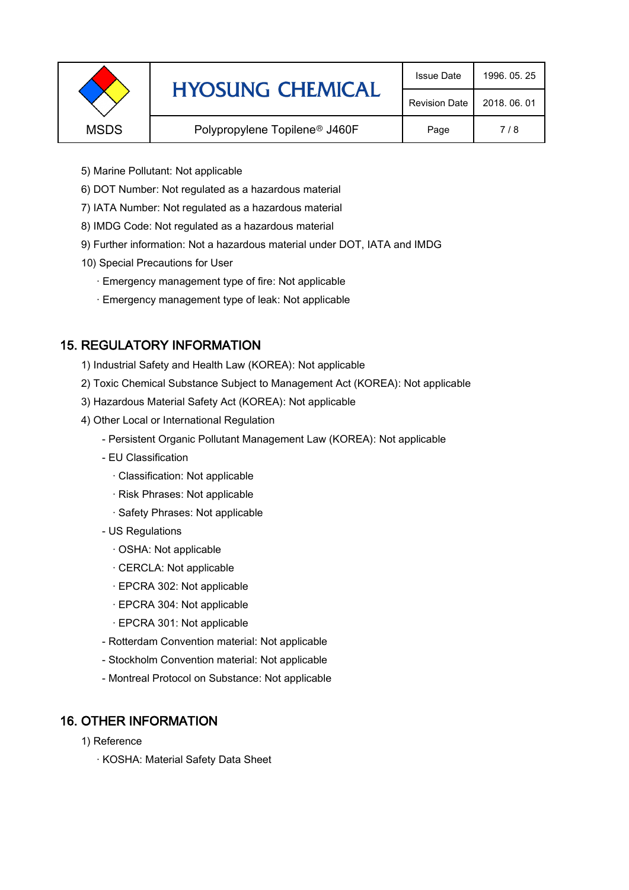|             | <b>HYOSUNG CHEMICAL</b>                   | <b>Issue Date</b>    | 1996, 05, 25 |
|-------------|-------------------------------------------|----------------------|--------------|
|             |                                           | <b>Revision Date</b> | 2018, 06, 01 |
| <b>MSDS</b> | Polypropylene Topilene <sup>®</sup> J460F | Page                 | 7/8          |
|             |                                           |                      |              |

- 5) Marine Pollutant: Not applicable
- 6) DOT Number: Not regulated as a hazardous material
- 7) IATA Number: Not regulated as a hazardous material
- 8) IMDG Code: Not regulated as a hazardous material
- 9) Further information: Not a hazardous material under DOT, IATA and IMDG
- 10) Special Precautions for User
	- · Emergency management type of fire: Not applicable
	- · Emergency management type of leak: Not applicable

## 15. REGULATORY INFORMATION

- 1) Industrial Safety and Health Law (KOREA): Not applicable
- 2) Toxic Chemical Substance Subject to Management Act (KOREA): Not applicable
- 3) Hazardous Material Safety Act (KOREA): Not applicable
- 4) Other Local or International Regulation
	- Persistent Organic Pollutant Management Law (KOREA): Not applicable
	- EU Classification
		- · Classification: Not applicable
		- · Risk Phrases: Not applicable
		- · Safety Phrases: Not applicable
	- US Regulations
		- · OSHA: Not applicable
		- · CERCLA: Not applicable
		- · EPCRA 302: Not applicable
		- · EPCRA 304: Not applicable
		- · EPCRA 301: Not applicable
	- Rotterdam Convention material: Not applicable
	- Stockholm Convention material: Not applicable
	- Montreal Protocol on Substance: Not applicable

## 16. OTHER INFORMATION

- 1) Reference
	- · KOSHA: Material Safety Data Sheet